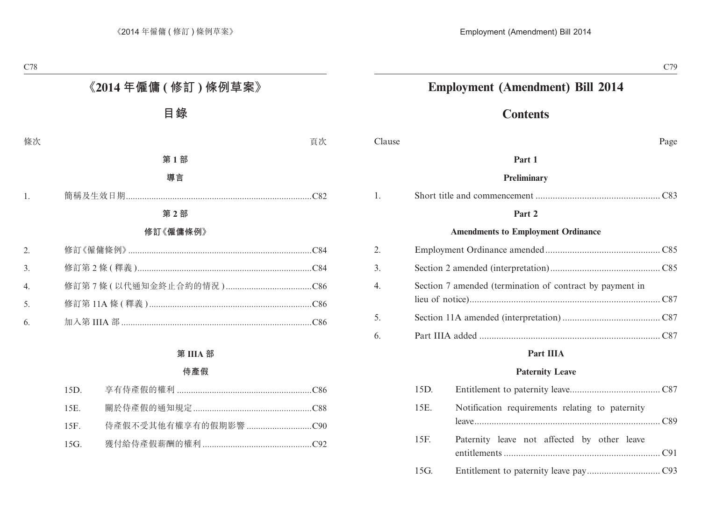# **Employment (Amendment) Bill 2014**

# **Contents**

Clause Page

#### **Part 1**

#### **Preliminary**

|--|--|

#### **Part 2**

#### **Amendments to Employment Ordinance**

| 2. |                                                          |  |
|----|----------------------------------------------------------|--|
| 3. |                                                          |  |
| 4. | Section 7 amended (termination of contract by payment in |  |
| 5. |                                                          |  |
| 6. |                                                          |  |

#### **Part IIIA**

#### **Paternity Leave**

| 15D. |                                                 |
|------|-------------------------------------------------|
| 15E. | Notification requirements relating to paternity |
| 15F. | Paternity leave not affected by other leave     |
| 15G. |                                                 |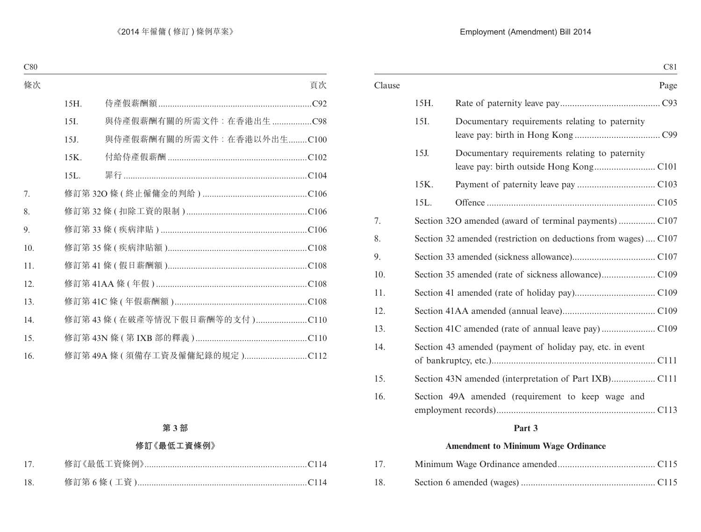### Employment (Amendment) Bill 2014

|        |                                                                | C81                                                       |
|--------|----------------------------------------------------------------|-----------------------------------------------------------|
| Clause |                                                                | Page                                                      |
|        | 15H.                                                           |                                                           |
|        | 15I.                                                           | Documentary requirements relating to paternity            |
|        | 15J.                                                           | Documentary requirements relating to paternity            |
|        | 15K.                                                           |                                                           |
|        | 15L.                                                           |                                                           |
| 7.     |                                                                |                                                           |
| 8.     | Section 32 amended (restriction on deductions from wages) C107 |                                                           |
| 9.     |                                                                |                                                           |
| 10.    |                                                                |                                                           |
| 11.    |                                                                |                                                           |
| 12.    |                                                                |                                                           |
| 13.    |                                                                |                                                           |
| 14.    |                                                                | Section 43 amended (payment of holiday pay, etc. in event |
| 15.    |                                                                |                                                           |
| 16.    |                                                                | Section 49A amended (requirement to keep wage and         |

#### **Part 3**

#### **Amendment to Minimum Wage Ordinance**

| 17. |  |
|-----|--|
| 18. |  |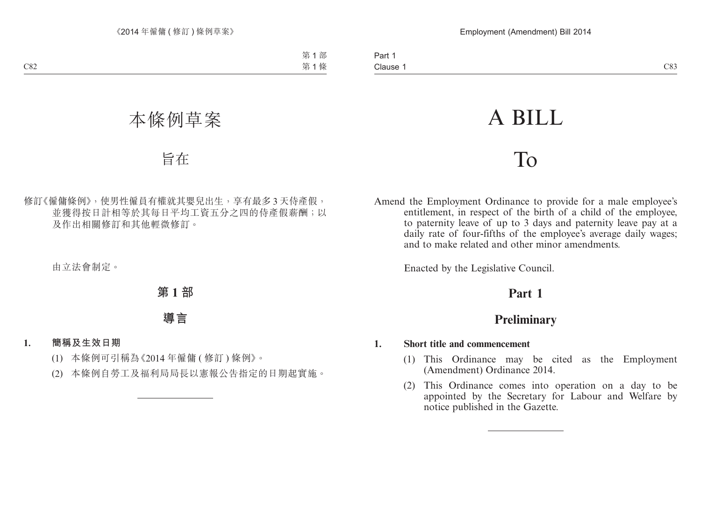# A BILL

# To

Amend the Employment Ordinance to provide for a male employee's entitlement, in respect of the birth of a child of the employee, to paternity leave of up to 3 days and paternity leave pay at a daily rate of four-fifths of the employee's average daily wages; and to make related and other minor amendments.

Enacted by the Legislative Council.

# **Part 1**

# **Preliminary**

#### **1. Short title and commencement**

- (1) This Ordinance may be cited as the Employment (Amendment) Ordinance 2014.
- (2) This Ordinance comes into operation on a day to be appointed by the Secretary for Labour and Welfare by notice published in the Gazette.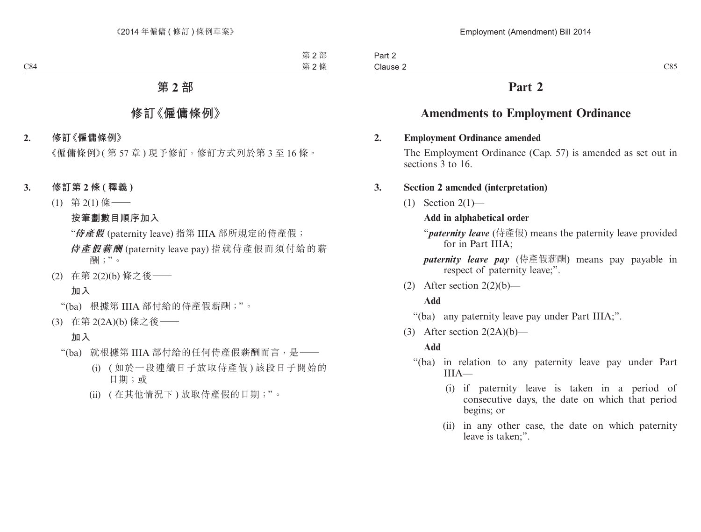# **Part 2**

# **Amendments to Employment Ordinance**

#### **2. Employment Ordinance amended**

The Employment Ordinance (Cap. 57) is amended as set out in sections 3 to 16.

#### **3. Section 2 amended (interpretation)**

 $(1)$  Section  $2(1)$ —

## **Add in alphabetical order**

"*paternity leave* (侍產假) means the paternity leave provided for in Part IIIA;

*paternity leave pay* (侍產假薪酬) means pay payable in respect of paternity leave:".

(2) After section  $2(2)(b)$ —

#### **Add**

"(ba) any paternity leave pay under Part IIIA;".

(3) After section  $2(2A)(b)$ —

## **Add**

- "(ba) in relation to any paternity leave pay under Part  $IIIA$ —
	- (i) if paternity leave is taken in a period of consecutive days, the date on which that period begins; or
	- (ii) in any other case, the date on which paternity leave is taken;".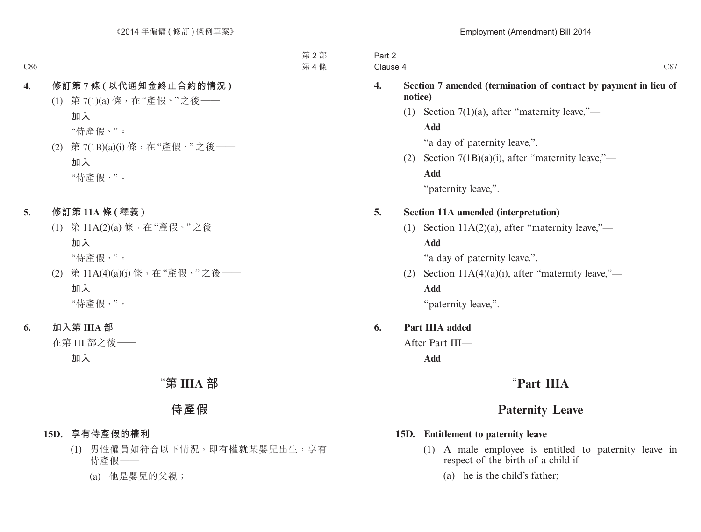| Part 2<br>Clause 4 |                                                                             | C87                                                |  |
|--------------------|-----------------------------------------------------------------------------|----------------------------------------------------|--|
| $\boldsymbol{4}$ . | Section 7 amended (termination of contract by payment in lieu of<br>notice) |                                                    |  |
|                    | (1)                                                                         | Section $7(1)(a)$ , after "maternity leave,"—      |  |
|                    |                                                                             | Add                                                |  |
|                    |                                                                             | "a day of paternity leave,".                       |  |
|                    | (2)                                                                         | Section $7(1B)(a)(i)$ , after "maternity leave,"—  |  |
|                    |                                                                             | Add                                                |  |
|                    |                                                                             | "paternity leave,".                                |  |
| 5.                 |                                                                             | <b>Section 11A amended (interpretation)</b>        |  |
|                    | (1)                                                                         | Section $11A(2)(a)$ , after "maternity leave,"—    |  |
|                    |                                                                             | Add                                                |  |
|                    |                                                                             | "a day of paternity leave,".                       |  |
|                    | (2)                                                                         | Section $11A(4)(a)(i)$ , after "maternity leave,"— |  |
|                    |                                                                             | Add                                                |  |
|                    |                                                                             | "paternity leave,".                                |  |
| 6.                 |                                                                             | Part IIIA added                                    |  |
|                    |                                                                             | After Part III-                                    |  |
|                    |                                                                             | Add                                                |  |
|                    |                                                                             | "Part IIIA                                         |  |
|                    |                                                                             | <b>Paternity Leave</b>                             |  |

## **15D. Entitlement to paternity leave**

- (1) A male employee is entitled to paternity leave in respect of the birth of a child if—
	- (a) he is the child's father;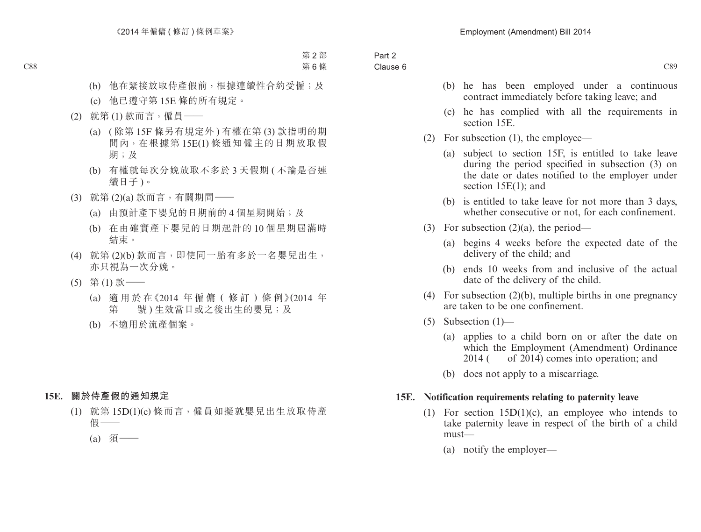- (b) he has been employed under a continuous contract immediately before taking leave; and
- (c) he has complied with all the requirements in section 15E.
- (2) For subsection (1), the employee—
	- (a) subject to section 15F, is entitled to take leave during the period specified in subsection (3) on the date or dates notified to the employer under section 15E(1); and
	- (b) is entitled to take leave for not more than 3 days, whether consecutive or not, for each confinement.
- (3) For subsection  $(2)(a)$ , the period—
	- (a) begins 4 weeks before the expected date of the delivery of the child; and
	- (b) ends 10 weeks from and inclusive of the actual date of the delivery of the child.
- (4) For subsection (2)(b), multiple births in one pregnancy are taken to be one confinement.
- (5) Subsection (1)—
	- (a) applies to a child born on or after the date on which the Employment (Amendment) Ordinance  $2014$  ( of  $2014$ ) comes into operation; and
	- (b) does not apply to a miscarriage.

#### **15E. Notification requirements relating to paternity leave**

- (1) For section 15D(1)(c), an employee who intends to take paternity leave in respect of the birth of a child must—
	- (a) notify the employer—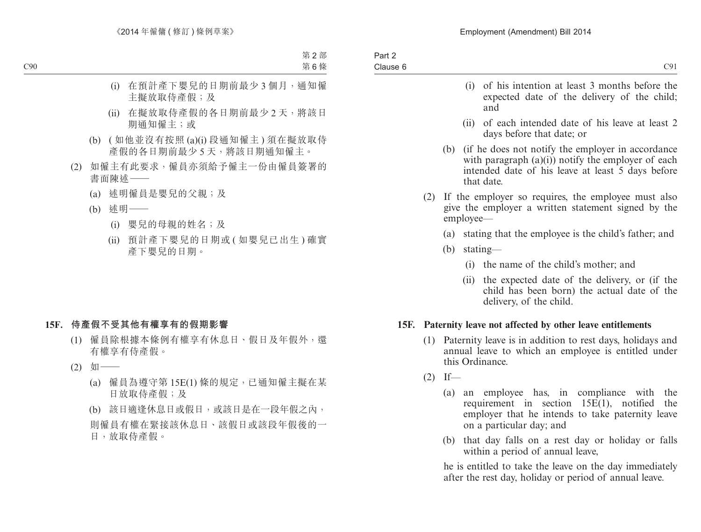- (i) of his intention at least 3 months before the expected date of the delivery of the child; and
- (ii) of each intended date of his leave at least 2 days before that date; or
- (b) (if he does not notify the employer in accordance with paragraph  $(a)(i)$  notify the employer of each intended date of his leave at least 5 days before that date.
- (2) If the employer so requires, the employee must also give the employer a written statement signed by the employee—
	- (a) stating that the employee is the child's father; and
	- (b) stating—
		- (i) the name of the child's mother; and
		- (ii) the expected date of the delivery, or (if the child has been born) the actual date of the delivery, of the child.

#### **15F. Paternity leave not affected by other leave entitlements**

- (1) Paternity leave is in addition to rest days, holidays and annual leave to which an employee is entitled under this Ordinance.
- $(2)$  If—
	- (a) an employee has, in compliance with the requirement in section 15E(1), notified the employer that he intends to take paternity leave on a particular day; and
	- (b) that day falls on a rest day or holiday or falls within a period of annual leave,

he is entitled to take the leave on the day immediately after the rest day, holiday or period of annual leave.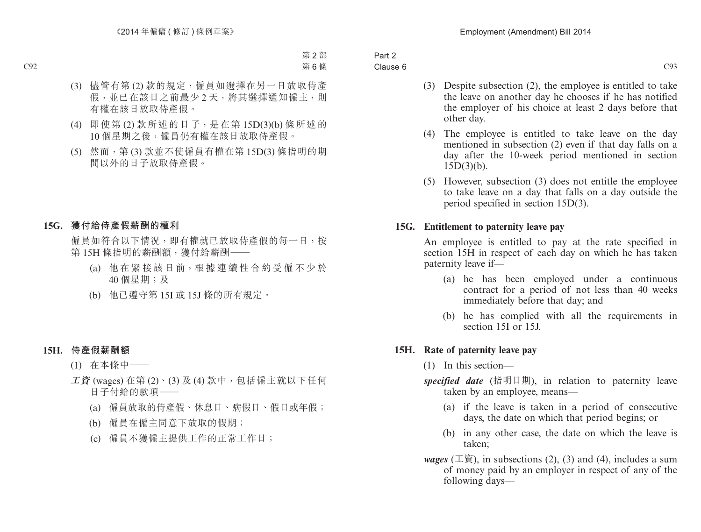| Part 2   |  |
|----------|--|
| Clause 6 |  |

- (3) Despite subsection (2), the employee is entitled to take the leave on another day he chooses if he has notified the employer of his choice at least 2 days before that other day.
- (4) The employee is entitled to take leave on the day mentioned in subsection (2) even if that day falls on a day after the 10-week period mentioned in section  $15D(3)(b)$ .
- (5) However, subsection (3) does not entitle the employee to take leave on a day that falls on a day outside the period specified in section 15D(3).

#### **15G. Entitlement to paternity leave pay**

An employee is entitled to pay at the rate specified in section 15H in respect of each day on which he has taken paternity leave if—

- (a) he has been employed under a continuous contract for a period of not less than 40 weeks immediately before that day; and
- (b) he has complied with all the requirements in section 15I or 15J.

#### **15H. Rate of paternity leave pay**

- (1) In this section—
- *specified date* (指明日期), in relation to paternity leave taken by an employee, means—
	- (a) if the leave is taken in a period of consecutive days, the date on which that period begins; or
	- (b) in any other case, the date on which the leave is taken;
- *wages* (工資), in subsections  $(2)$ ,  $(3)$  and  $(4)$ , includes a sum of money paid by an employer in respect of any of the following days—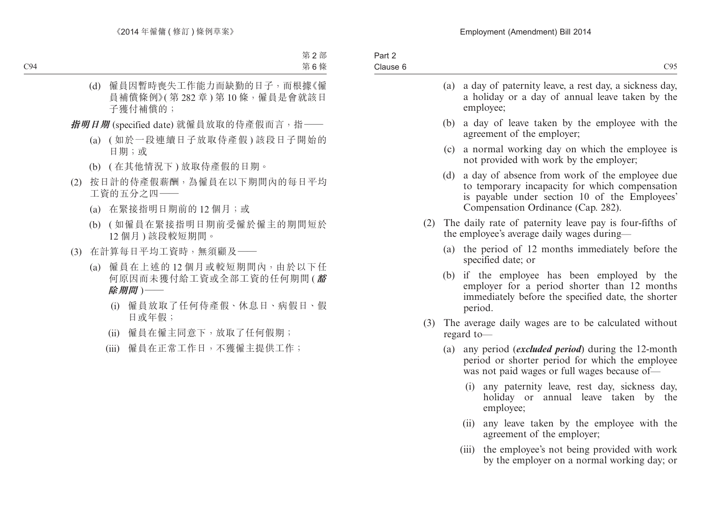|     | (a) | a day of paternity leave, a rest day, a sickness day,<br>a holiday or a day of annual leave taken by the<br>employee;                                                                   |  |
|-----|-----|-----------------------------------------------------------------------------------------------------------------------------------------------------------------------------------------|--|
|     | (b) | a day of leave taken by the employee with the<br>agreement of the employer;                                                                                                             |  |
|     | (c) | a normal working day on which the employee is<br>not provided with work by the employer;                                                                                                |  |
|     | (d) | a day of absence from work of the employee due<br>to temporary incapacity for which compensation<br>is payable under section 10 of the Employees'<br>Compensation Ordinance (Cap. 282). |  |
| (2) |     | The daily rate of paternity leave pay is four-fifths of<br>the employee's average daily wages during—                                                                                   |  |
|     | (a) | the period of 12 months immediately before the<br>specified date; or                                                                                                                    |  |
|     | (b) | if the employee has been employed by the<br>employer for a period shorter than 12 months<br>immediately before the specified date, the shorter<br>period.                               |  |
|     |     | (3) The average daily wages are to be calculated without<br>regard to-                                                                                                                  |  |
|     | (a) | any period (excluded period) during the 12-month<br>period or shorter period for which the employee<br>was not paid wages or full wages because of-                                     |  |
|     |     | any paternity leave, rest day, sickness day,<br>(i)<br>holiday or annual leave taken by the<br>employee;                                                                                |  |
|     |     | any leave taken by the employee with the<br>(ii)<br>agreement of the employer;                                                                                                          |  |

(iii) the employee's not being provided with work by the employer on a normal working day; or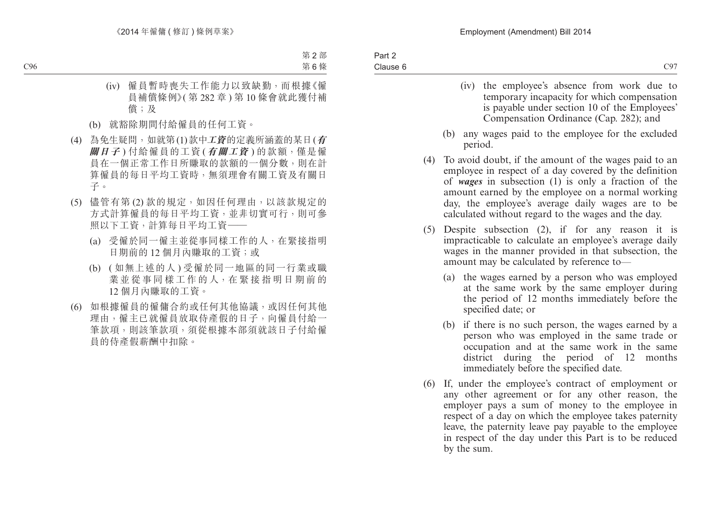- (iv) the employee's absence from work due to temporary incapacity for which compensation is payable under section 10 of the Employees' Compensation Ordinance (Cap. 282); and
- (b) any wages paid to the employee for the excluded period.
- (4) To avoid doubt, if the amount of the wages paid to an employee in respect of a day covered by the definition of *wages* in subsection (1) is only a fraction of the amount earned by the employee on a normal working day, the employee's average daily wages are to be calculated without regard to the wages and the day.
- (5) Despite subsection (2), if for any reason it is impracticable to calculate an employee's average daily wages in the manner provided in that subsection, the amount may be calculated by reference to—
	- (a) the wages earned by a person who was employed at the same work by the same employer during the period of 12 months immediately before the specified date; or
	- (b) if there is no such person, the wages earned by a person who was employed in the same trade or occupation and at the same work in the same district during the period of 12 months immediately before the specified date.
- (6) If, under the employee's contract of employment or any other agreement or for any other reason, the employer pays a sum of money to the employee in respect of a day on which the employee takes paternity leave, the paternity leave pay payable to the employee in respect of the day under this Part is to be reduced by the sum.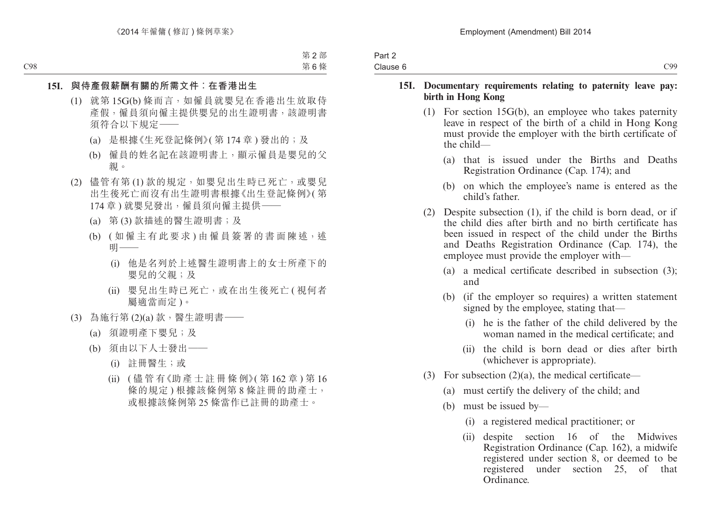| Part 2<br>Clause 6 |  |
|--------------------|--|
|                    |  |

#### **15I. Documentary requirements relating to paternity leave pay: birth in Hong Kong**

- (1) For section 15G(b), an employee who takes paternity leave in respect of the birth of a child in Hong Kong must provide the employer with the birth certificate of the child—
	- (a) that is issued under the Births and Deaths Registration Ordinance (Cap. 174); and
	- (b) on which the employee's name is entered as the child's father.
- (2) Despite subsection (1), if the child is born dead, or if the child dies after birth and no birth certificate has been issued in respect of the child under the Births and Deaths Registration Ordinance (Cap. 174), the employee must provide the employer with—
	- (a) a medical certificate described in subsection (3); and
	- (b) (if the employer so requires) a written statement signed by the employee, stating that—
		- (i) he is the father of the child delivered by the woman named in the medical certificate; and
		- (ii) the child is born dead or dies after birth (whichever is appropriate).
- (3) For subsection  $(2)(a)$ , the medical certificate—
	- (a) must certify the delivery of the child; and
	- (b) must be issued by—
		- (i) a registered medical practitioner; or
		- (ii) despite section 16 of the Midwives Registration Ordinance (Cap. 162), a midwife registered under section 8, or deemed to be registered under section 25, of that Ordinance.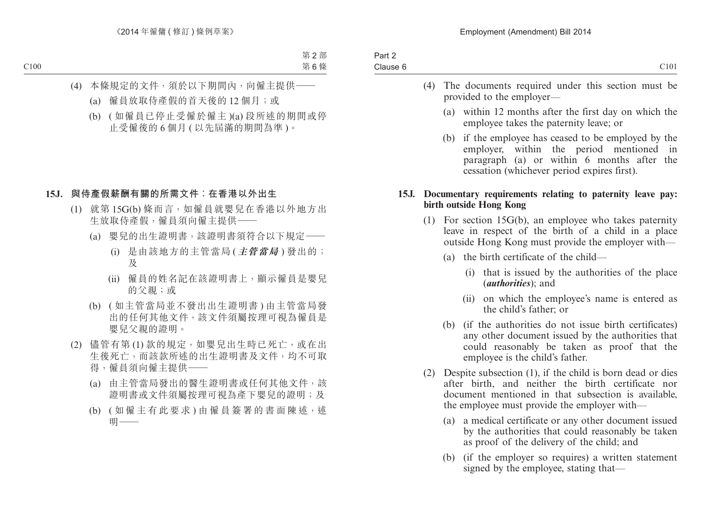- (4) The documents required under this section must be provided to the employer—
	- (a) within 12 months after the first day on which the employee takes the paternity leave; or
	- (b) if the employee has ceased to be employed by the employer, within the period mentioned in paragraph (a) or within 6 months after the cessation (whichever period expires first).

#### **15J. Documentary requirements relating to paternity leave pay: birth outside Hong Kong**

- (1) For section 15G(b), an employee who takes paternity leave in respect of the birth of a child in a place outside Hong Kong must provide the employer with—
	- (a) the birth certificate of the child—
		- (i) that is issued by the authorities of the place (*authorities*); and
		- (ii) on which the employee's name is entered as the child's father; or
	- (b) (if the authorities do not issue birth certificates) any other document issued by the authorities that could reasonably be taken as proof that the employee is the child's father.
- (2) Despite subsection (1), if the child is born dead or dies after birth, and neither the birth certificate nor document mentioned in that subsection is available, the employee must provide the employer with—
	- (a) a medical certificate or any other document issued by the authorities that could reasonably be taken as proof of the delivery of the child; and
	- (b) (if the employer so requires) a written statement signed by the employee, stating that—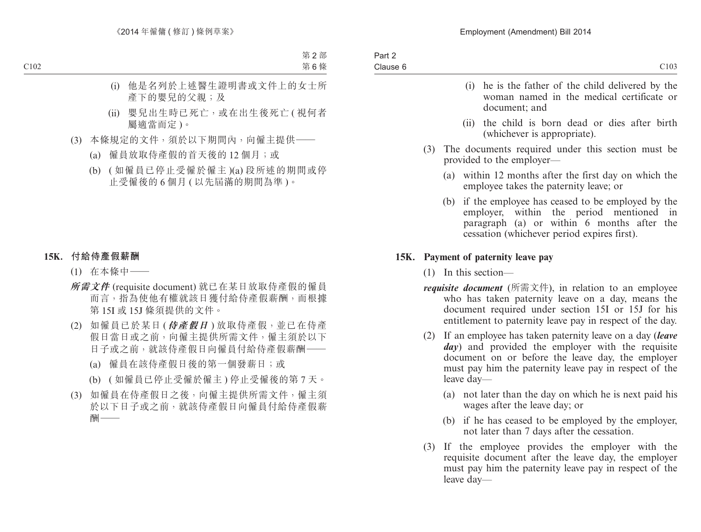- (i) he is the father of the child delivered by the woman named in the medical certificate or document; and
- (ii) the child is born dead or dies after birth (whichever is appropriate).
- (3) The documents required under this section must be provided to the employer—
	- (a) within 12 months after the first day on which the employee takes the paternity leave; or
	- (b) if the employee has ceased to be employed by the employer, within the period mentioned in paragraph (a) or within 6 months after the cessation (whichever period expires first).

#### **15K. Payment of paternity leave pay**

- (1) In this section—
- *requisite document* (所需文件), in relation to an employee who has taken paternity leave on a day, means the document required under section 15I or 15J for his entitlement to paternity leave pay in respect of the day.
- (2) If an employee has taken paternity leave on a day (*leave day*) and provided the employer with the requisite document on or before the leave day, the employer must pay him the paternity leave pay in respect of the leave day—
	- (a) not later than the day on which he is next paid his wages after the leave day; or
	- (b) if he has ceased to be employed by the employer, not later than 7 days after the cessation.
- (3) If the employee provides the employer with the requisite document after the leave day, the employer must pay him the paternity leave pay in respect of the leave day—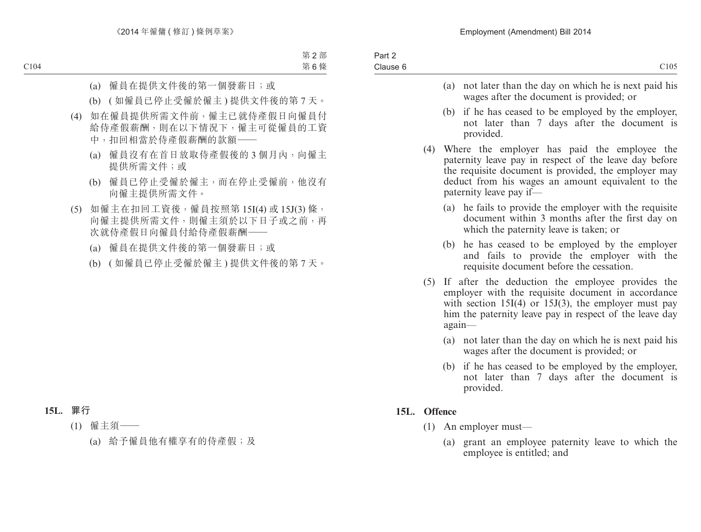- (a) not later than the day on which he is next paid his wages after the document is provided; or
- (b) if he has ceased to be employed by the employer, not later than 7 days after the document is provided.
- (4) Where the employer has paid the employee the paternity leave pay in respect of the leave day before the requisite document is provided, the employer may deduct from his wages an amount equivalent to the paternity leave pay if—
	- (a) he fails to provide the employer with the requisite document within 3 months after the first day on which the paternity leave is taken; or
	- (b) he has ceased to be employed by the employer and fails to provide the employer with the requisite document before the cessation.
- (5) If after the deduction the employee provides the employer with the requisite document in accordance with section  $15I(4)$  or  $15J(3)$ , the employer must pay him the paternity leave pay in respect of the leave day again—
	- (a) not later than the day on which he is next paid his wages after the document is provided; or
	- (b) if he has ceased to be employed by the employer, not later than 7 days after the document is provided.

#### **15L. Offence**

- (1) An employer must—
	- (a) grant an employee paternity leave to which the employee is entitled; and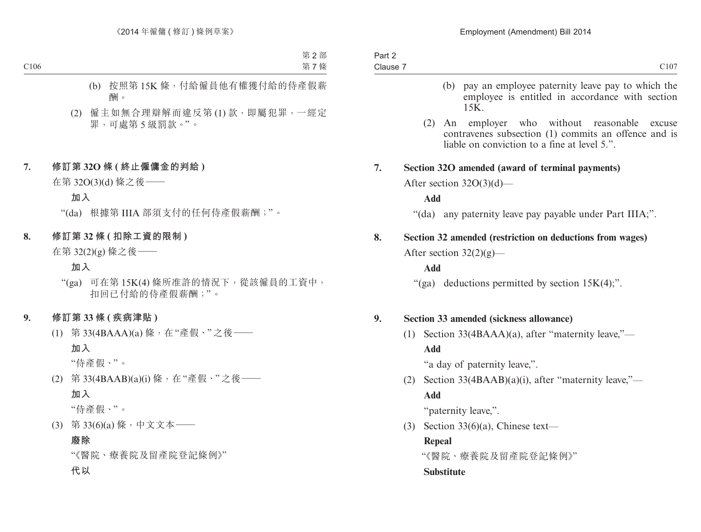- (b) pay an employee paternity leave pay to which the employee is entitled in accordance with section 15K.
- (2) An employer who without reasonable excuse contravenes subsection (1) commits an offence and is liable on conviction to a fine at level 5.".

#### **7. Section 32O amended (award of terminal payments)**

After section 32O(3)(d)—

**Add**

"(da) any paternity leave pay payable under Part IIIA;".

# **8. Section 32 amended (restriction on deductions from wages)** After section  $32(2)(g)$ —

#### **Add**

"(ga) deductions permitted by section  $15K(4)$ ;".

#### **9. Section 33 amended (sickness allowance)**

(1) Section 33(4BAAA)(a), after "maternity leave,"— **Add**

"a day of paternity leave,".

(2) Section 33(4BAAB)(a)(i), after "maternity leave,"— **Add**

"paternity leave,".

(3) Section  $33(6)(a)$ , Chinese text—

#### **Repeal**

"《醫院、療養院及留產院登記條例》"

#### **Substitute**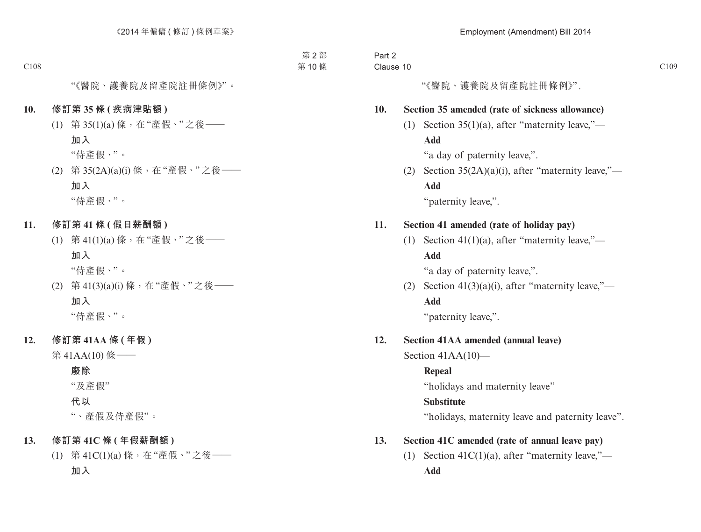Part 2

| Clause 10 |     |                                                      | C <sub>109</sub> |
|-----------|-----|------------------------------------------------------|------------------|
|           |     | "《醫院、護養院及留產院註冊條例》".                                  |                  |
| 10.       |     | Section 35 amended (rate of sickness allowance)      |                  |
|           | (1) | Section $35(1)(a)$ , after "maternity leave,"—       |                  |
|           |     | Add                                                  |                  |
|           |     | "a day of paternity leave,".                         |                  |
|           | (2) | Section $35(2A)(a)(i)$ , after "maternity leave,"—   |                  |
|           |     | Add                                                  |                  |
|           |     | "paternity leave,".                                  |                  |
| 11.       |     | Section 41 amended (rate of holiday pay)             |                  |
|           | (1) | Section 41(1)(a), after "maternity leave,"—          |                  |
|           |     | Add                                                  |                  |
|           |     | "a day of paternity leave,".                         |                  |
|           | (2) | Section $41(3)(a)(i)$ , after "maternity leave,"—    |                  |
|           |     | Add                                                  |                  |
|           |     | "paternity leave,".                                  |                  |
| 12.       |     | <b>Section 41AA amended (annual leave)</b>           |                  |
|           |     | Section $41AA(10)$ —                                 |                  |
|           |     | <b>Repeal</b>                                        |                  |
|           |     | "holidays and maternity leave"                       |                  |
|           |     | <b>Substitute</b>                                    |                  |
|           |     | "holidays, maternity leave and paternity leave".     |                  |
| 13.       |     | Section 41C amended (rate of annual leave pay)       |                  |
|           |     | (1) Section 41 $C(1)(a)$ , after "maternity leave,"— |                  |
|           |     | Add                                                  |                  |
|           |     |                                                      |                  |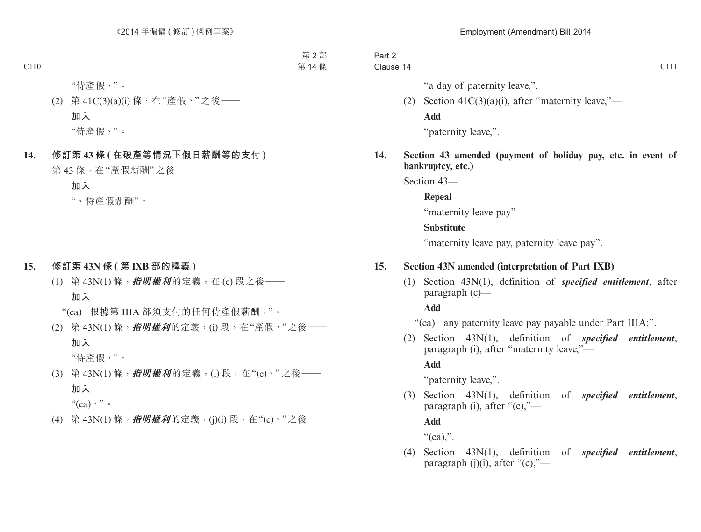| Part 2    |  |  |
|-----------|--|--|
| Clause 14 |  |  |

C111

"a day of paternity leave,".

(2) Section  $41C(3)(a)(i)$ , after "maternity leave,"— **Add**

"paternity leave,".

**14. Section 43 amended (payment of holiday pay, etc. in event of bankruptcy, etc.)**

Section 43—

**Repeal**

"maternity leave pay"

#### **Substitute**

"maternity leave pay, paternity leave pay".

## **15. Section 43N amended (interpretation of Part IXB)**

(1) Section 43N(1), definition of *specified entitlement*, after paragraph (c)—

**Add**

"(ca) any paternity leave pay payable under Part IIIA;".

(2) Section 43N(1), definition of *specified entitlement*, paragraph (i), after "maternity leave,"—

**Add**

"paternity leave,".

(3) Section 43N(1), definition of *specified entitlement*, paragraph (i), after " $(c)$ ,"—

**Add**

" $(ca)$ ".

(4) Section 43N(1), definition of *specified entitlement*, paragraph  $(j)(i)$ , after " $(c)$ ,"—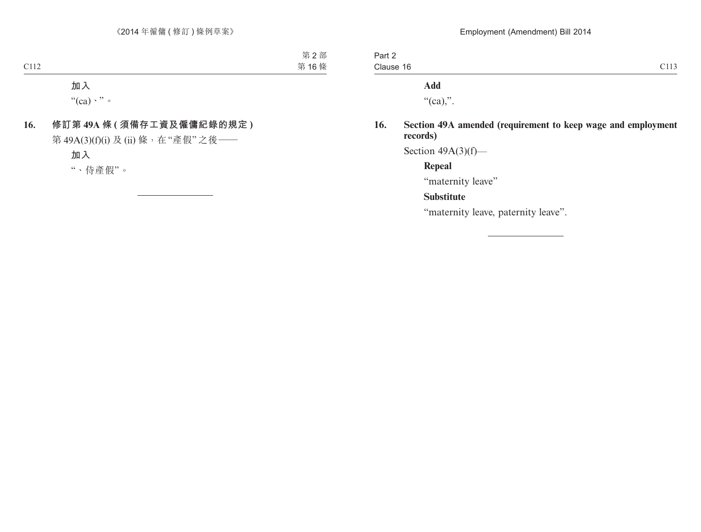| Part 2    |  |
|-----------|--|
| Clause 16 |  |

## **Add**

" $(ca)$ .".

## **16. Section 49A amended (requirement to keep wage and employment records)**

Section  $49A(3)(f)$ —

**Repeal**

"maternity leave"

## **Substitute**

"maternity leave, paternity leave".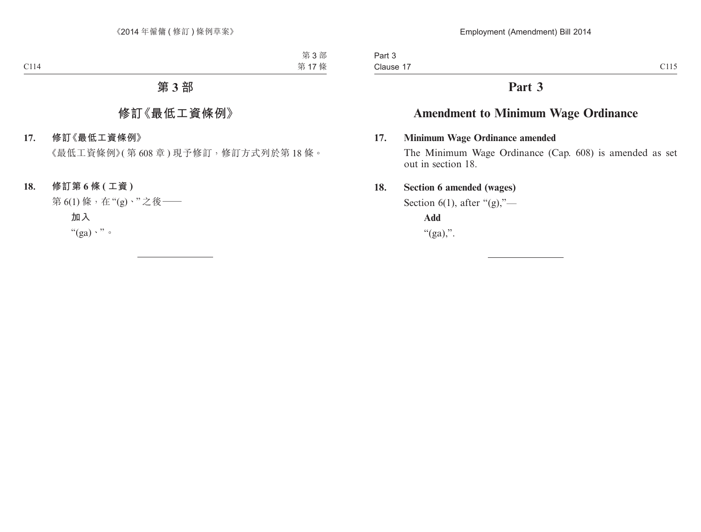# **Part 3**

# **Amendment to Minimum Wage Ordinance**

## **17. Minimum Wage Ordinance amended**

The Minimum Wage Ordinance (Cap. 608) is amended as set out in section 18.

## **18. Section 6 amended (wages)**

Section 6(1), after " $(g)$ ,"—

**Add** " $(ga)$ ,".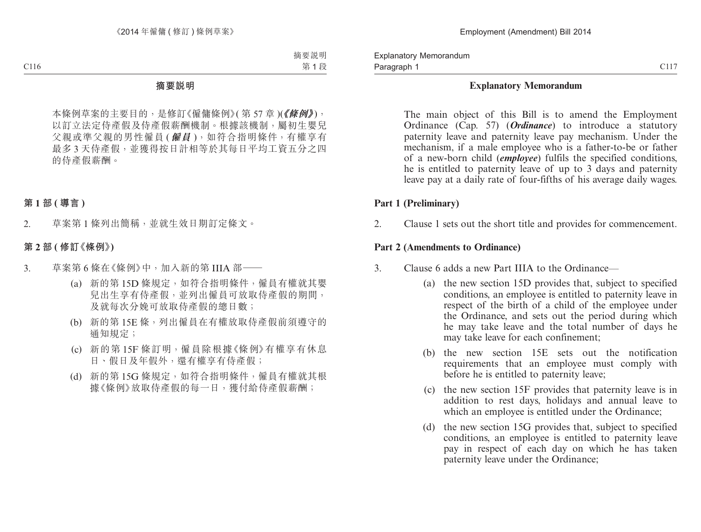Explanatory Memorandum Paragraph 1

#### **Explanatory Memorandum**

The main object of this Bill is to amend the Employment Ordinance (Cap. 57) (*Ordinance*) to introduce a statutory paternity leave and paternity leave pay mechanism. Under the mechanism, if a male employee who is a father-to-be or father of a new-born child (*employee*) fulfils the specified conditions, he is entitled to paternity leave of up to 3 days and paternity leave pay at a daily rate of four-fifths of his average daily wages.

#### **Part 1 (Preliminary)**

2. Clause 1 sets out the short title and provides for commencement.

#### **Part 2 (Amendments to Ordinance)**

- 3. Clause 6 adds a new Part IIIA to the Ordinance—
	- (a) the new section 15D provides that, subject to specified conditions, an employee is entitled to paternity leave in respect of the birth of a child of the employee under the Ordinance, and sets out the period during which he may take leave and the total number of days he may take leave for each confinement;
	- (b) the new section 15E sets out the notification requirements that an employee must comply with before he is entitled to paternity leave;
	- (c) the new section 15F provides that paternity leave is in addition to rest days, holidays and annual leave to which an employee is entitled under the Ordinance;
	- (d) the new section 15G provides that, subject to specified conditions, an employee is entitled to paternity leave pay in respect of each day on which he has taken paternity leave under the Ordinance;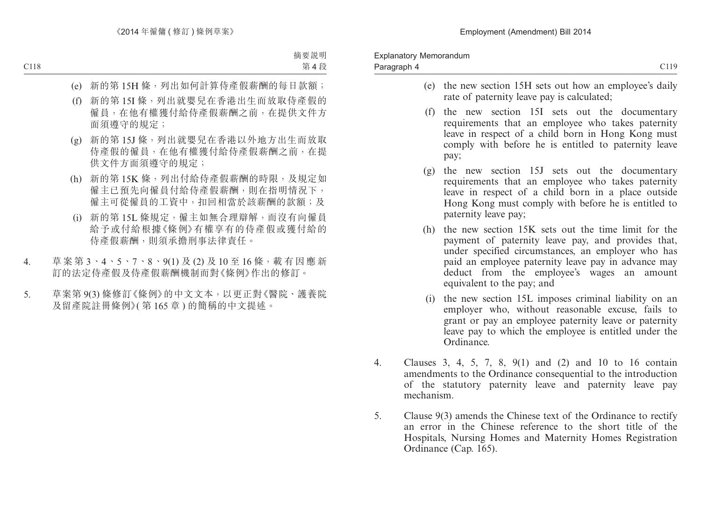- (e) the new section 15H sets out how an employee's daily rate of paternity leave pay is calculated;
- (f) the new section 15I sets out the documentary requirements that an employee who takes paternity leave in respect of a child born in Hong Kong must comply with before he is entitled to paternity leave pay;
- (g) the new section 15J sets out the documentary requirements that an employee who takes paternity leave in respect of a child born in a place outside Hong Kong must comply with before he is entitled to paternity leave pay;
- (h) the new section 15K sets out the time limit for the payment of paternity leave pay, and provides that, under specified circumstances, an employer who has paid an employee paternity leave pay in advance may deduct from the employee's wages an amount equivalent to the pay; and
- (i) the new section 15L imposes criminal liability on an employer who, without reasonable excuse, fails to grant or pay an employee paternity leave or paternity leave pay to which the employee is entitled under the Ordinance.
- 4. Clauses 3, 4, 5, 7, 8, 9(1) and (2) and 10 to 16 contain amendments to the Ordinance consequential to the introduction of the statutory paternity leave and paternity leave pay mechanism.
- 5. Clause 9(3) amends the Chinese text of the Ordinance to rectify an error in the Chinese reference to the short title of the Hospitals, Nursing Homes and Maternity Homes Registration Ordinance (Cap. 165).